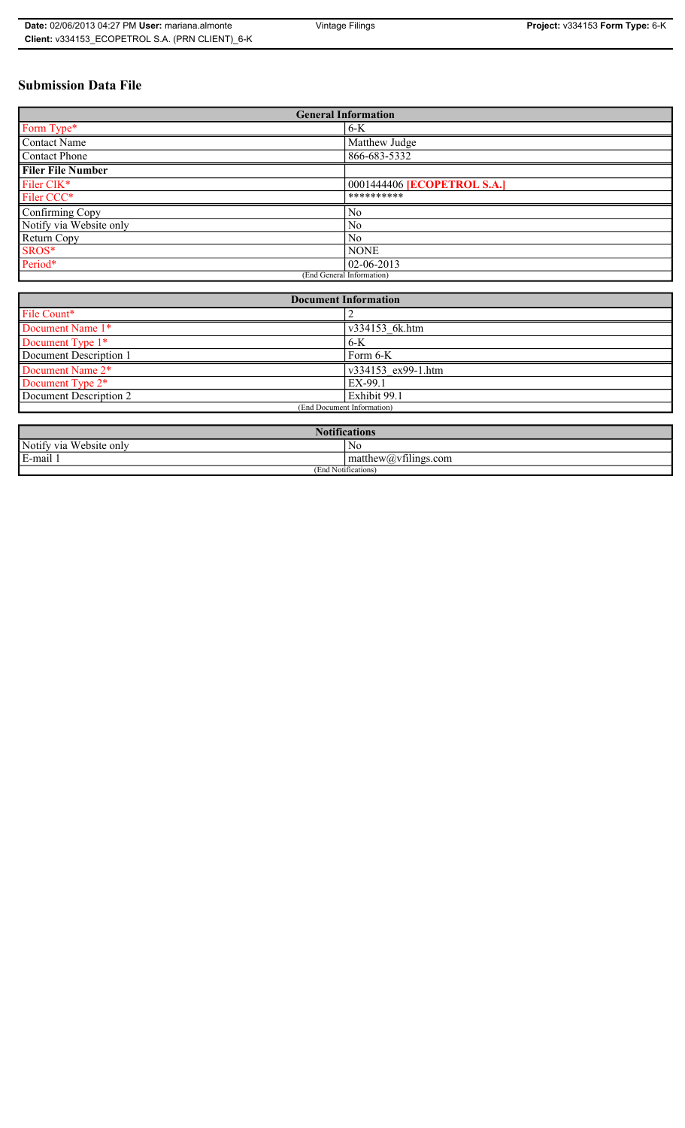# **Submission Data File**

| <b>General Information</b> |                                    |
|----------------------------|------------------------------------|
| Form Type*                 | $6-K$                              |
| <b>Contact Name</b>        | Matthew Judge                      |
| Contact Phone              | 866-683-5332                       |
| <b>Filer File Number</b>   |                                    |
| Filer CIK*                 | 0001444406 <b>[ECOPETROL S.A.]</b> |
| Filer CCC*                 | **********                         |
| Confirming Copy            | No                                 |
| Notify via Website only    | N <sub>0</sub>                     |
| Return Copy                | N <sub>0</sub>                     |
| SROS*                      | <b>NONE</b>                        |
| Period*                    | $02 - 06 - 2013$                   |
| (End General Information)  |                                    |

| <b>Document Information</b>  |                    |
|------------------------------|--------------------|
| File Count*                  |                    |
| Document Name 1*             | v334153 6k.htm     |
| Document Type 1*             | $6-K$              |
| Document Description 1       | Form 6-K           |
| Document Name 2*             | v334153 ex99-1.htm |
| Document Type 2 <sup>*</sup> | EX-99.1            |
| Document Description 2       | Exhibit 99.1       |
| (End Document Information)   |                    |
|                              |                    |

| <b>Notifications</b>    |                                               |  |
|-------------------------|-----------------------------------------------|--|
| Notify via Website only | No                                            |  |
| E-mail<br>$\cdots$      | $\sim$ 1.<br>matthew( <i>a</i> ) vtilings.com |  |
| (End Notifications)     |                                               |  |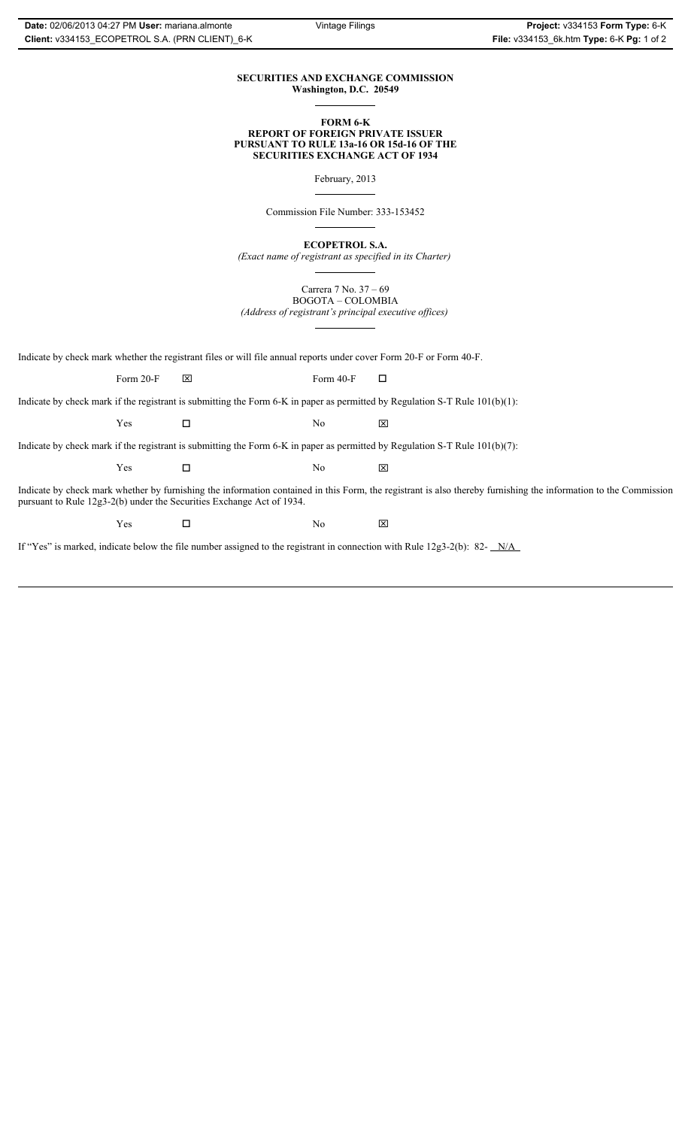## **SECURITIES AND EXCHANGE COMMISSION Washington, D.C. 20549**

#### **FORM 6-K REPORT OF FOREIGN PRIVATE ISSUER PURSUANT TO RULE 13a-16 OR 15d-16 OF THE SECURITIES EXCHANGE ACT OF 1934**

February, 2013

Commission File Number: 333-153452

**ECOPETROL S.A.**

*(Exact name of registrant as specified in its Charter)*

Carrera 7 No. 37 – 69 BOGOTA – COLOMBIA

*(Address of registrant's principal executive offices)*

Indicate by check mark whether the registrant files or will file annual reports under cover Form 20-F or Form 40-F.

Form 20-F  $\boxtimes$  Form 40-F  $\Box$ 

Indicate by check mark if the registrant is submitting the Form 6-K in paper as permitted by Regulation S-T Rule 101(b)(1):

 $Yes$   $\Box$   $No$   $X$ 

Indicate by check mark if the registrant is submitting the Form 6-K in paper as permitted by Regulation S-T Rule 101(b)(7):

 $Yes$   $\Box$   $No$   $X$ 

Indicate by check mark whether by furnishing the information contained in this Form, the registrant is also thereby furnishing the information to the Commission pursuant to Rule 12g3-2(b) under the Securities Exchange Act of 1934.

 $Yes$   $\square$ 

If "Yes" is marked, indicate below the file number assigned to the registrant in connection with Rule 12g3-2(b): 82- N/A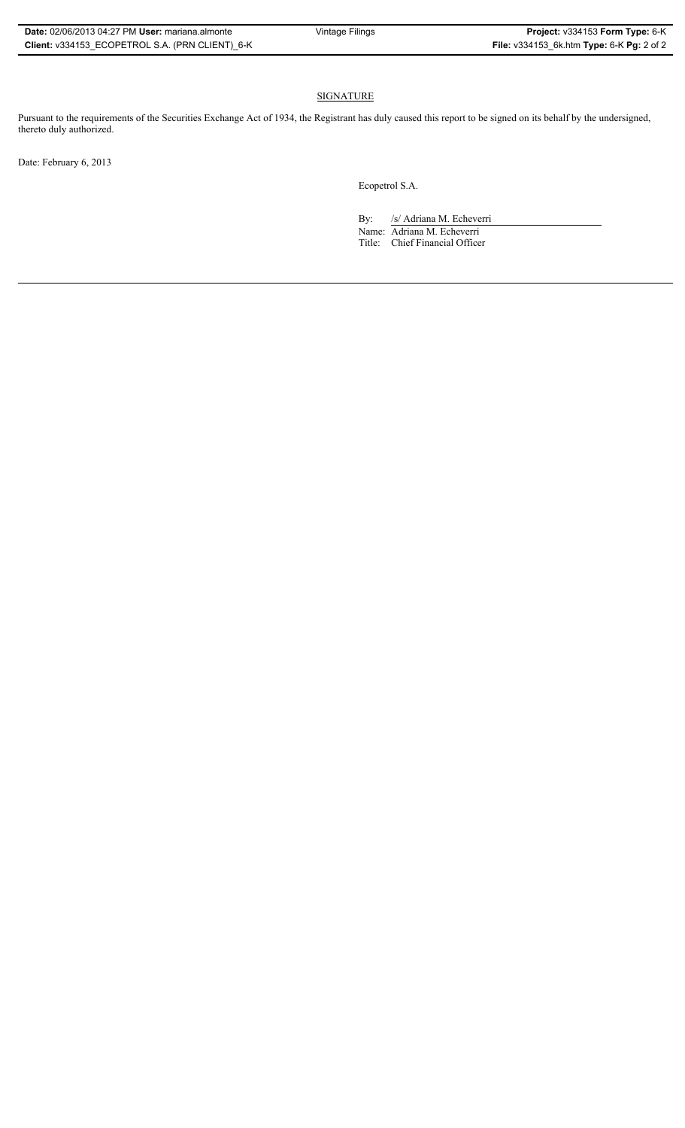# SIGNATURE

Pursuant to the requirements of the Securities Exchange Act of 1934, the Registrant has duly caused this report to be signed on its behalf by the undersigned, thereto duly authorized.

Date: February 6, 2013

Ecopetrol S.A.

By: /s/ Adriana M. Echeverri

Name: Adriana M. Echeverri Title: Chief Financial Officer